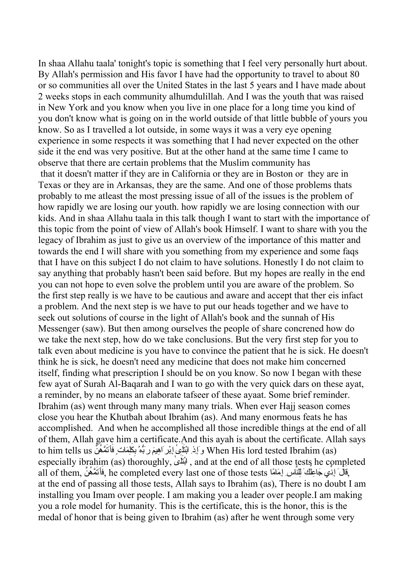In shaa Allahu taala' tonight's topic is something that I feel very personally hurt about. By Allah's permission and His favor I have had the opportunity to travel to about 80 or so communities all over the United States in the last 5 years and I have made about 2 weeks stops in each community alhumdulillah. And I was the youth that was raised in New York and you know when you live in one place for a long time you kind of you don't know what is going on in the world outside of that little bubble of yours you know. So as I travelled a lot outside, in some ways it was a very eye opening experience in some respects it was something that I had never expected on the other side it the end was very positive. But at the other hand at the same time I came to observe that there are certain problems that the Muslim community has that it doesn't matter if they are in California or they are in Boston or they are in Texas or they are in Arkansas, they are the same. And one of those problems thats probably to me atleast the most pressing issue of all of the issues is the problem of how rapidly we are losing our youth. how rapidly we are losing connection with our kids. And in shaa Allahu taala in this talk though I want to start with the importance of this topic from the point of view of Allah's book Himself. I want to share with you the legacy of Ibrahim as just to give us an overview of the importance of this matter and towards the end I will share with you something from my experience and some faqs that I have on this subject I do not claim to have solutions. Honestly I do not claim to say anything that probably hasn't been said before. But my hopes are really in the end you can not hope to even solve the problem until you are aware of the problem. So the first step really is we have to be cautious and aware and accept that ther eis infact a problem. And the next step is we have to put our heads together and we have to seek out solutions of course in the light of Allah's book and the sunnah of His Messenger (saw). But then among ourselves the people of share concrened how do we take the next step, how do we take conclusions. But the very first step for you to talk even about medicine is you have to convince the patient that he is sick. He doesn't think he is sick, he doesn't need any medicine that does not make him concerned itself, finding what prescription I should be on you know. So now I began with these few ayat of Surah Al-Baqarah and I wan to go with the very quick dars on these ayat, a reminder, by no means an elaborate tafseer of these ayaat. Some brief reminder. Ibrahim (as) went through many many many trials. When ever Hajj season comes close you hear the Khutbah about Ibrahim (as). And many enormous feats he has accomplished. And when he accomplished all those incredible things at the end of all of them, Allah gave him a certificate.And this ayah is about the certificate. Allah says to him tells us وَ إِذِ ابْنَأَيْمِ إِبْرِ اهِيمَ رَبُّهُ بِكَلِمَاتٍ فَأَتَمَّهُنَّ to him tells us especially ibrahim (as) thoroughly, بتْا َ َٰى ل , and at the end of all those tests he completed all of them, وَقَالَ إِذَا بِهِ جَاعِلُكَ لِلْأَلْسِ إِمَاهًا all of them, وَاللَّهُ أَنْ أَنْ أَنْ أَنْ أَنْ at the end of passing all those tests, Allah says to Ibrahim (as), There is no doubt I am installing you Imam over people. I am making you a leader over people.I am making you a role model for humanity. This is the certificate, this is the honor, this is the medal of honor that is being given to Ibrahim (as) after he went through some very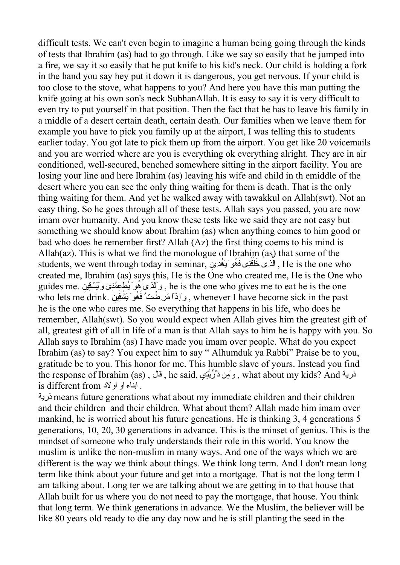difficult tests. We can't even begin to imagine a human being going through the kinds of tests that Ibrahim (as) had to go through. Like we say so easily that he jumped into a fire, we say it so easily that he put knife to his kid's neck. Our child is holding a fork in the hand you say hey put it down it is dangerous, you get nervous. If your child is too close to the stove, what happens to you? And here you have this man putting the knife going at his own son's neck SubhanAllah. It is easy to say it is very difficult to even try to put yourself in that position. Then the fact that he has to leave his family in a middle of a desert certain death, certain death. Our families when we leave them for example you have to pick you family up at the airport, I was telling this to students earlier today. You got late to pick them up from the airport. You get like 20 voicemails and you are worried where are you is everything ok everything alright. They are in air conditioned, well-secured, benched somewhere sitting in the airport facility. You are losing your line and here Ibrahim (as) leaving his wife and child in th emiddle of the desert where you can see the only thing waiting for them is death. That is the only thing waiting for them. And yet he walked away with tawakkul on Allah(swt). Not an easy thing. So he goes through all of these tests. Allah says you passed, you are now imam over humanity. And you know these tests like we said they are not easy but something we should know about Ibrahim (as) when anything comes to him good or bad who does he remember first? Allah (Az) the first thing coems to his mind is Allah(az). This is what we find the monologue of Ibrahim (as) that some of the students, we went through today in seminar, الَّذِى خَلَقْنِى فَهُوَ يَهْدينِ , He is the one who created me, Ibrahim (as) says this, He is the One who created me, He is the One who ereated me, to tanning the guides me.<br>وَالَّذِي هُوَ يُطْعِمُنُونَ وَيَسْقِينَ , he is the one who gives me to eat he is the one who lets me drink. وَإِذَا مَرَّضْتُ فَهُوَ يَشْفِينِ whenever I have become sick in the past he is the one who cares me. So everything that happens in his life, who does he remember, Allah(swt). So you would expect when Allah gives him the greatest gift of all, greatest gift of all in life of a man is that Allah says to him he is happy with you. So Allah says to Ibrahim (as) I have made you imam over people. What do you expect Ibrahim (as) to say? You expect him to say " Alhumduk ya Rabbi" Praise be to you, gratitude be to you. This honor for me. This humble slave of yours. Instead you find the response of Ibrahim (as) , قال , he said, تيِِّرَّيُذ منِ َو , what about my kids? And ذرية is different from یابناء او اولاد .

ذرية means future generations what about my immediate children and their children and their children and their children. What about them? Allah made him imam over mankind, he is worried about his future geneations. He is thinking 3, 4 generations 5 generations, 10, 20, 30 generations in advance. This is the minset of genius. This is the mindset of someone who truly understands their role in this world. You know the muslim is unlike the non-muslim in many ways. And one of the ways which we are different is the way we think about things. We think long term. And I don't mean long term like think about your future and get into a mortgage. That is not the long term I am talking about. Long ter we are talking about we are getting in to that house that Allah built for us where you do not need to pay the mortgage, that house. You think that long term. We think generations in advance. We the Muslim, the believer will be like 80 years old ready to die any day now and he is still planting the seed in the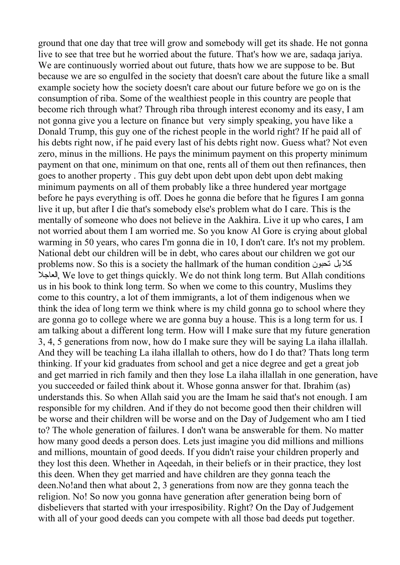ground that one day that tree will grow and somebody will get its shade. He not gonna live to see that tree but he worried about the future. That's how we are, sadaqa jariya. We are continuously worried about out future, thats how we are suppose to be. But because we are so engulfed in the society that doesn't care about the future like a small example society how the society doesn't care about our future before we go on is the consumption of riba. Some of the wealthiest people in this country are people that become rich through what? Through riba through interest economy and its easy, I am not gonna give you a lecture on finance but very simply speaking, you have like a Donald Trump, this guy one of the richest people in the world right? If he paid all of his debts right now, if he paid every last of his debts right now. Guess what? Not even zero, minus in the millions. He pays the minimum payment on this property minimum payment on that one, minimum on that one, rents all of them out then refinances, then goes to another property . This guy debt upon debt upon debt upon debt making minimum payments on all of them probably like a three hundered year mortgage before he pays everything is off. Does he gonna die before that he figures I am gonna live it up, but after I die that's somebody else's problem what do I care. This is the mentally of someone who does not believe in the Aakhira. Live it up who cares, I am not worried about them I am worried me. So you know Al Gore is crying about global warming in 50 years, who cares I'm gonna die in 10, I don't care. It's not my problem. National debt our children will be in debt, who cares about our children we got our problems now. So this is a society the hallmark of the human condition تحبون بل كلا العاجلا, We love to get things quickly. We do not think long term. But Allah conditions us in his book to think long term. So when we come to this country, Muslims they come to this country, a lot of them immigrants, a lot of them indigenous when we think the idea of long term we think where is my child gonna go to school where they are gonna go to college where we are gonna buy a house. This is a long term for us. I am talking about a different long term. How will I make sure that my future generation 3, 4, 5 generations from now, how do I make sure they will be saying La ilaha illallah. And they will be teaching La ilaha illallah to others, how do I do that? Thats long term thinking. If your kid graduates from school and get a nice degree and get a great job and get married in rich family and then they lose La ilaha illallah in one generation, have you succeeded or failed think about it. Whose gonna answer for that. Ibrahim (as) understands this. So when Allah said you are the Imam he said that's not enough. I am responsible for my children. And if they do not become good then their children will be worse and their children will be worse and on the Day of Judgement who am I tied to? The whole generation of failures. I don't wana be answerable for them. No matter how many good deeds a person does. Lets just imagine you did millions and millions and millions, mountain of good deeds. If you didn't raise your children properly and they lost this deen. Whether in Aqeedah, in their beliefs or in their practice, they lost this deen. When they get married and have children are they gonna teach the deen.No!and then what about 2, 3 generations from now are they gonna teach the religion. No! So now you gonna have generation after generation being born of disbelievers that started with your irresposibility. Right? On the Day of Judgement with all of your good deeds can you compete with all those bad deeds put together.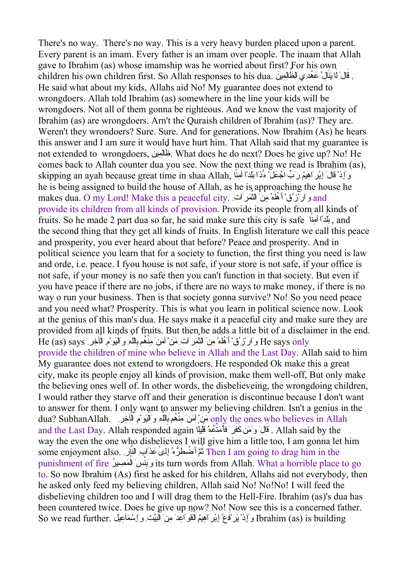There's no way. There's no way. This is a very heavy burden placed upon a parent. Every parent is an imam. Every father is an imam over people. The inaam that Allah gave to Ibrahim (as) whose imamship was he worried about first? For his own er no children his own children first. So Allah responses to his dua. قَالَ لَمَا يَبْلُ عَهْدِي الظَّالِمِينَ He said what about my kids, Allahs aid No! My guarantee does not extend to wrongdoers. Allah told Ibrahim (as) somewhere in the line your kids will be wrongdoers. Not all of them gonna be righteous. And we know the vast majority of Ibrahim (as) are wrongdoers. Arn't the Quraish children of Ibrahim (as)? They are. Weren't they wrondoers? Sure. Sure. And for generations. Now Ibrahim (As) he hears this answer and I am sure it would have hurt him. That Allah said that my guarantee is not extended to wrongdoers, ظ َّ ِِمين ال َ . What does he do next? Does he give up? No! He comes back to Allah counter dua you see. Now the next thing we read is Ibrahim (as), skipping an ayah because great time in shaa Allah, مَاذَا بَلَدًا آمِنًا  $\sim$ i أَمِدًا آمِنًا $\sim$ i skipping an he is being assigned to build the house of Allah, as he is approaching the house he makes dua. O my Lord! Make this a peaceful city. هلَْأ ْقُزْارَو َ هُ ِمنَ الث َّ and َمرَاتِ provide its children from all kinds of provision. Provide its people from all kinds of fruits. So he made 2 part dua so far, he said make sure this city is safe بَلَدًا آمِنًا , and the second thing that they get all kinds of fruits. In English literature we call this peace and prosperity, you ever heard about that before? Peace and prosperity. And in political science you learn that for a society to function, the first thing you need is law and orde, i.e. peace. I fyou house is not safe, if your store is not safe, if your office is not safe, if your money is no safe then you can't function in that society. But even if you have peace if there are no jobs, if there are no ways to make money, if there is no way o run your business. Then is that society gonna survive? No! So you need peace and you need what? Prosperity. This is what you learn in political science now. Look at the genius of this man's dua. He says make it a peaceful city and make sure they are provided from all kinds of fruits. But then he adds a little bit of a disclaimer in the end. e says only وَارْزُقْ أَهْلُمُ مِنَ الثَّمَرَ اتَّ ِمَنْ ْ آَمَنَ مِنْهُمْ بِاللَّهِ وَالْيَوْمِ الْآخِرِ He (as) says provide the children of mine who believe in Allah and the Last Day. Allah said to him My guarantee does not extend to wrongdoers. He responded Ok make this a great city, make its people enjoy all kinds of provision, make them well-off, But only make the believing ones well of. In other words, the disbelieveing, the wrongdoing children, I would rather they starve off and their generation is discontinue because I don't want to answer for them. I only want to answer my believing children. Isn't a genius in the dua? SubhanAllah. مَنِّ آَمَنَ مِنْهُم بِاللَّهِ وَالَّذِينَ مِنْهُمْ الْمَاهِيمَ الْمَاهِيمَ مِنْ الْمَقَامَة and the Last Day. Allah responded again قَالَ وَمَن كَفَّرٍ ۚ فَأَُمَتُكُمْ قَلِيلًا ......................... way the even the one who disbelieves I will give him a little too, I am gonna let him some enjoyment also. ث ط َّمأَض ُ َ َٰى ُّرهُ إِل َعذَابِ الن َّ ِار Then I am going to drag him in the **ٔ** punishment of fire بَوِ ْس ئ َ ال ْ صيرِ مَ ُ its turn words from Allah. What <sup>a</sup> horrible place to go to. So now Ibrahim (As) first he asked for his children, Allahs aid not everybody, then he asked only feed my believing children, Allah said No! No!No! I will feed the disbelieving children too and I will drag them to the Hell-Fire. Ibrahim (as)'s dua has been countered twice. Does he give up now? No! Now see this is a concerned father. مَّا الْمُسْتَفَقَّا بِيَّا بِيَّا بِهِمْ الْقُوَّاسِيَة مِنْ الْبَيْتِ وَإِسْمَاعِيلَ .So we read further وَإِذْ يُو فَعُ إِيْرِ اَهِيمُ الْقُوَ اَعِدَ مِنَ الْبَيْتِ وَإِسْمَاعِيلَ .So we read further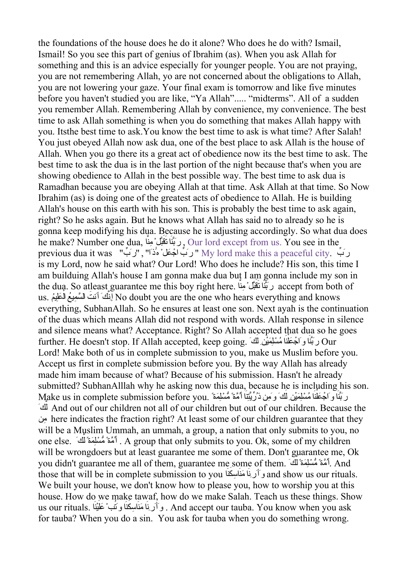the foundations of the house does he do it alone? Who does he do with? Ismail, Ismail! So you see this part of genius of Ibrahim (as). When you ask Allah for something and this is an advice especially for younger people. You are not praying, you are not remembering Allah, yo are not concerned about the obligations to Allah, you are not lowering your gaze. Your final exam is tomorrow and like five minutes before you haven't studied you are like, "Ya Allah"..... "midterms". All of a sudden you remember Allah. Remembering Allah by convenience, my convenience. The best time to ask Allah something is when you do something that makes Allah happy with you. Itsthe best time to ask.You know the best time to ask is what time? After Salah! You just obeyed Allah now ask dua, one of the best place to ask Allah is the house of Allah. When you go there its a great act of obedience now its the best time to ask. The best time to ask the dua is in the last portion of the night because that's when you are showing obedience to Allah in the best possible way. The best time to ask dua is Ramadhan because you are obeying Allah at that time. Ask Allah at that time. So Now Ibrahim (as) is doing one of the greatest acts of obedience to Allah. He is building Allah's house on this earth with his son. This is probably the best time to ask again, right? So he asks again. But he knows what Allah has said no to already so he is gonna keep modifying his dua. Because he is adjusting accordingly. So what dua does he make? Number one dua, تق َ نا رََّبَ ِن َّبلْم َ َّ ا , Our lord except from us. You see in the previous dua it was " رَبِّ الْجَعَلْ هَٰذَا" , "رَ بَّ الْجَعَلْ هَٰذَا" , "رَ يَّ " bud make this a peaceful city is my Lord, now he said what? Our Lord! Who does he include? His son, this time I am builduing Allah's house I am gonna make dua but I am gonna include my son in the dua. So atleast guarantee me this boy right here. رَبَّنَا نَقَبَّلْ ْمِنَّا حَقَبَلْ مَا لِلْهَ the dua. So atleast guarantee me this boy right here. رَبَّنَا نَقَبَلْ ْمِنَّا َ أَنت َّك إِن .us ُ ال ِيع ال َّسم َ ْ علَ مُيِ No doubt you are the one who hears everything and knows everything, SubhanAllah. So he ensures at least one son. Next ayah is the continuation of the duas which means Allah did not respond with words. Allah response in silence and silence means what? Acceptance. Right? So Allah accepted that dua so he goes further. He doesn't stop. If Allah accepted, keep going. علَجْ اَو نا رََّبَ ْ ن َ ْنِ ل َِمي ا ُمْسل َ Ourكَ Lord! Make both of us in complete submission to you, make us Muslim before you. Accept us first in complete submission before you. By the way Allah has already made him imam because of what? Because of his submission. Hasn't he already submitted? SubhanAlllah why he asking now this dua, because he is including his son. Make us in complete submission before you. علَجْ اَو نا رََّبَ ْ ن َ ْنِ ل َِمي ا ُمْسل َ نا أَُّمةً ُّمْسِلَمةً ِمن ذُِّرَّيِتَ كَ وَ ل َّ َك And out of our children not all of our children but out of our children. Because the منِ here indicates the fraction right? At least some of our children guarantee that they will be a Muslim Ummah, an ummah, a group, a nation that only submits to you, no ً ل َِمة أَُّمةً ُّمْسل .else one َّ َك. A group that only submits to you. Ok, some of my children will be wrongdoers but at least guarantee me some of them. Don't guarantee me, Ok you didn't guarantee me all of them, guarantee me some of them. سلُّْم ًَّمةُأ مةَِ ل ً َّ And . كَ  $\tilde{t}$ hose that will be in complete submission to you وَأَرِينَا هَنَاسِكَنَا  $\,$ and show us our rituals. We built your house, we don't know how to please you, how to worship you at this house. How do we make tawaf, how do we make Salah. Teach us these things. Show us our rituals. وَأَرَدْنَا مَنَاسِكَنَا وَنَتُبْ طَلْيْنَا .And accept our tauba. You know when you ask for tauba? When you do a sin. You ask for tauba when you do something wrong.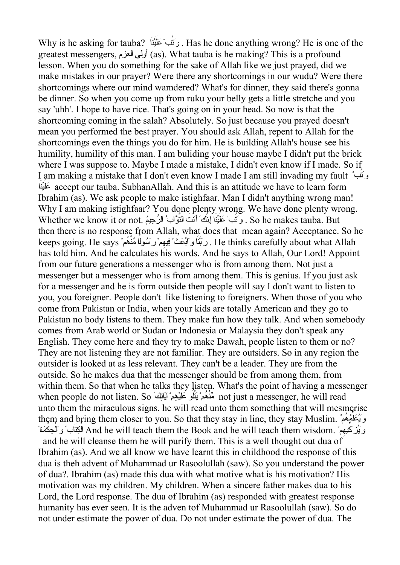Why is he asking for tauba? . وَنَتُبْ عَلَيْنَا  $\,$  Has he done anything wrong? He is one of the greatest messengers, العزم أولي) as). What tauba is he making? This is a profound lesson. When you do something for the sake of Allah like we just prayed, did we make mistakes in our prayer? Were there any shortcomings in our wudu? Were there shortcomings where our mind wamdered? What's for dinner, they said there's gonna be dinner. So when you come up from ruku your belly gets a little stretche and you say 'uhh'. I hope to have rice. That's going on in your head. So now is that the shortcoming coming in the salah? Absolutely. So just because you prayed doesn't mean you performed the best prayer. You should ask Allah, repent to Allah for the shortcomings even the things you do for him. He is building Allah's house see his humility, humility of this man. I am buliding your house maybe I didn't put the brick where I was suppose to. Maybe I made a mistake, I didn't even know if I made. So if I am making a mistake that I don't even know I made I am still invading my fault تَو بُ ْ َعل َ ْين َ ا accept our tauba. SubhanAllah. And this is an attitude we have to learn form Ibrahim (as). We ask people to make istighfaar. Man I didn't anything wrong man! Why I am making istighfaar? You done plenty wrong. We have done plenty wrong. Whether we know it or not. وَتُتُبْ ْ عَلَيْنَا إِنَّكَ أَنْتَ التَّوَّابُ الرَّحِيمُ .So he makes tauba . But then there is no response from Allah, what does that mean again? Acceptance. So he keeps going. He says فيهِ نا وَاْبَعثْ ِ رََّبَ مْ رَ ُسول ً ا ِّمن ُهم ْ ْ . He thinks carefully about what Allah has told him. And he calculates his words. And he says to Allah, Our Lord! Appoint from our future generations a messenger who is from among them. Not just a messenger but a messenger who is from among them. This is genius. If you just ask for a messenger and he is form outside then people will say I don't want to listen to you, you foreigner. People don't like listening to foreigners. When those of you who come from Pakistan or India, when your kids are totally American and they go to Pakistan no body listens to them. They make fun how they talk. And when somebody comes from Arab world or Sudan or Indonesia or Malaysia they don't speak any English. They come here and they try to make Dawah, people listen to them or no? They are not listening they are not familiar. They are outsiders. So in any region the outsider is looked at as less relevant. They can't be a leader. They are from the outside. So he makes dua that the messenger should be from among them, from within them. So that when he talks they listen. What's the point of having a messenger when people do not listen. So َٱلْبَاتِكُ mot just a messenger, he will read unto them the miraculous signs. he will read unto them something that will mesmerise them and bring them closer to you. So that they stay in line, they stay Muslim. علَيَُو ُم ُمه ِّ ُ وَيُّزْ كَيْهِمْ َ And he will teach them the Book and he will teach them wisdom. وَيُزْ كَيْهِمْ َ الْحِكْمَة and he will cleanse them he will purify them. This is a well thought out dua of Ibrahim (as). And we all know we have learnt this in childhood the response of this dua is theh advent of Muhammad ur Rasoolullah (saw). So you understand the power of dua?. Ibrahim (as) made this dua with what motive what is his motivation? His motivation was my children. My children. When a sincere father makes dua to his Lord, the Lord response. The dua of Ibrahim (as) responded with greatest response humanity has ever seen. It is the adven tof Muhammad ur Rasoolullah (saw). So do not under estimate the power of dua. Do not under estimate the power of dua. The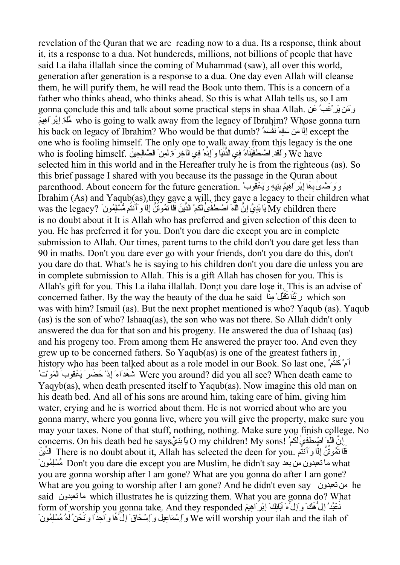revelation of the Quran that we are reading now to a dua. Its a response, think about it, its a response to a dua. Not hundereds, millions, not billions of people that have said La ilaha illallah since the coming of Muhammad (saw), all over this world, generation after generation is a response to a dua. One day even Allah will cleanse them, he will purify them, he will read the Book unto them. This is a concern of a father who thinks ahead, who thinks ahead. So this is what Allah tells us, so I am gonna conclude this and talk about some practical steps in shaa Allah. عنَ ُغبَ وََمن َيرْ ِ مَسْتَدَمَّة وَالْمُسْتَقَدِّمَة وَالْمُسَمَّسَة وَاللّهُ مَسَّلَّمًا وَاللّهُ مَنْ مَسَمَّلِيَّةً وَاللّهُ م<br>who is going to walk away from the legacy of Ibrahim? Whose gonna turn his back on legacy of Ibrahim? Who would be that dumb? لِلَّا مَن سَفِهِ نَفْسَهُ إِلَيْ الْمَسْلَمِينَ وَالْم one who is fooling himself. The only one to walk away from this legacy is the one دَ وَسَيِّ الْمَسْتَحْقِيَنَاهُ فِي الدُّنْيَا وَ إِذَهُ فِي الْآخِرِ مَّ لِمِنَ الصَّالِحِينَ .who is fooling himself selected him in this world and in the Hereafter truly he is from the righteous (as). So this brief passage I shared with you because its the passage in the Quran about ََي ْعق ِيِه و َن ِيُم ب ا إِْبرَاه َه ِ وَوَ َّصٰى ب .generation future the for concern About .parenthood ُ وبُ Ibrahim (As) and Yaqub(as) they gave a will, they gave a legacy to their children what سَامِندَ مَسْتَدَمَّة مِنْ وَالْمُسْتَدَمِينَ بِالْمَالِّينَ فَلَا تَمُوتُنَّ إِلَّا وَأَنتُم مُّسْلِمُونَ ?was the legacy يَا بَدِّيَّ إِنَّ اللَّهَ اَصْطُفُّی لَکُمُ الْدَّيْنَ فَلَا تَمُوتُنَّ إِلَّا وَأَنتُم مُّسْلِمُ is no doubt about it It is Allah who has preferred and given selection of this deen to you. He has preferred it for you. Don't you dare die except you are in complete submission to Allah. Our times, parent turns to the child don't you dare get less than 90 in maths. Don't you dare ever go with your friends, don't you dare do this, don't you dare do that. What's he is saying to his children don't you dare die unless you are in complete submission to Allah. This is a gift Allah has chosen for you. This is Allah's gift for you. This La ilaha illallah. Don;t you dare lose it. This is an advise of concerned father. By the way the beauty of the dua he said تَبَنَّا تَقَبَّلْ مِنَّا الْمَقْتَلْ مِنْقَا was with him? Ismail (as). But the next prophet mentioned is who? Yaqub (as). Yaqub (as) is the son of who? Ishaaq(as), the son who was not there. So Allah didn't only answered the dua for that son and his progeny. He answered the dua of Ishaaq (as) and his progeny too. From among them He answered the prayer too. And even they grew up to be concerned fathers. So Yaqub(as) is one of the greatest fathers in history who has been talked about as a role model in our Book. So last one, كْمَأ ُ نت ُ مْ سَمَّة مُسَمَّدٌ وَالَّذِ مُسَمَّدٌ مِنْ الْقَرْنَةُ مُسَمَّدًا وَاللَّهُ مُسَمَّدًا وَاللَّهُ مُسَمَّدًا وَال<br>Were you around? did you all see? When death came to Yaqyb(as), when death presented itself to Yaqub(as). Now imagine this old man on his death bed. And all of his sons are around him, taking care of him, giving him water, crying and he is worried about them. He is not worried about who are you gonna marry, where you gonna live, where you will give the property, make sure you may your taxes. None of that stuff, nothing, nothing. Make sure you finish college. No concerns. On his death bed he says: بَابَنِّيَّ O my children! My sons! كَمَعْ أَبَيْتِ بِهِمْ أَوْسَلْتَهُمْ الد ِّ نَي There is no doubt about it, Allah has selected the deen for you. ف َ ل َ ا ت ُموت َ إِل َّن ُ َّ ا وَأَنت مُ َمونُلِسُّْم Don't you dare die except you are Muslim, he didn't say بعد من تعبدون ما what you are gonna worship after I am gone? What are you gonna do after I am gone? What are you going to worship after I am gone? And he didn't even say تعبدون من he said تعبدون ما which illustrates he is quizzing them. What you are gonna do? What َنَعْبُدُ إِلٰ هَكَ وَإِلَى ۚ ٱبَائِكَ إِبْرَاهِيمَ form of worship you gonna take. And they responded وَإِسْمَاعِيلَ وَإِسْحَاقَ ۚ إِلَٰ هَا وَاحِدًّا وَنَحْنُ لَمَ مُسْلِمُونَ  $\overset{..}{\mathrm{We}}$  will worship your ilah and the ilah of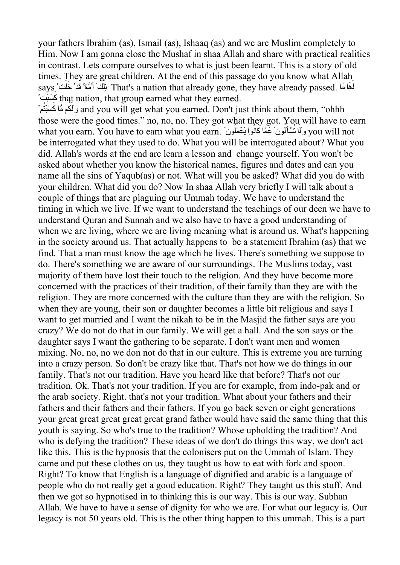your fathers Ibrahim (as), Ismail (as), Ishaaq (as) and we are Muslim completely to Him. Now I am gonna close the Mushaf in shaa Allah and share with practical realities in contrast. Lets compare ourselves to what is just been learnt. This is a story of old times. They are great children. At the end of this passage do you know what Allah سَمَعَةٌ مَسْتَقَدْ جَارَ اللَّهَ بِمَعْشَقَةٌ وَجَمَعَةٌ مَسَمَّنَةٌ وَجَمَعَةٌ وَجَمَعَةٌ وَجَمَعَةٌ وَجَمَع<br>لَهَا That's a nation that already gone, they have already passed. لَهَا مَا َهَةٌ قَدْ خَلَّتٌ رَّ18 ك َ ْبتَسَ that nation, that group earned what they earned.

and you will get what you earned. Don't just think about them, "ohhh" وكَتَم مَّا كَسَبْتُمْ " those were the good times." no, no, no. They got what they got. You will have to earn what you earn. You have to earn what you earn.  $\frac{1}{2}$  in the state state of the state of the state of the state of the state of the state of the state of the state of the state of the state of the state of state state be interrogated what they used to do. What you will be interrogated about? What you did. Allah's words at the end are learn a lesson and change yourself. You won't be asked about whether you know the historical names, figures and dates and can you name all the sins of Yaqub(as) or not. What will you be asked? What did you do with your children. What did you do? Now In shaa Allah very briefly I will talk about a couple of things that are plaguing our Ummah today. We have to understand the timing in which we live. If we want to understand the teachings of our deen we have to understand Quran and Sunnah and we also have to have a good understanding of when we are living, where we are living meaning what is around us. What's happening in the society around us. That actually happens to be a statement Ibrahim (as) that we find. That a man must know the age which he lives. There's something we suppose to do. There's something we are aware of our surroundings. The Muslims today, vast majority of them have lost their touch to the religion. And they have become more concerned with the practices of their tradition, of their family than they are with the religion. They are more concerned with the culture than they are with the religion. So when they are young, their son or daughter becomes a little bit religious and says I want to get married and I want the nikah to be in the Masjid the father says are you crazy? We do not do that in our family. We will get a hall. And the son says or the daughter says I want the gathering to be separate. I don't want men and women mixing. No, no, no we don not do that in our culture. This is extreme you are turning into a crazy person. So don't be crazy like that. That's not how we do things in our family. That's not our tradition. Have you heard like that before? That's not our tradition. Ok. That's not your tradition. If you are for example, from indopak and or the arab society. Right. that's not your tradition. What about your fathers and their fathers and their fathers and their fathers. If you go back seven or eight generations your great great great great great grand father would have said the same thing that this youth is saying. So who's true to the tradition? Whose upholding the tradition? And who is defying the tradition? These ideas of we don't do things this way, we don't act like this. This is the hypnosis that the colonisers put on the Ummah of Islam. They came and put these clothes on us, they taught us how to eat with fork and spoon. Right? To know that English is a language of dignified and arabic is a language of people who do not really get a good education. Right? They taught us this stuff. And then we got so hypnotised in to thinking this is our way. This is our way. Subhan Allah. We have to have a sense of dignity for who we are. For what our legacy is. Our legacy is not 50 years old. This is the other thing happen to this ummah. This is a part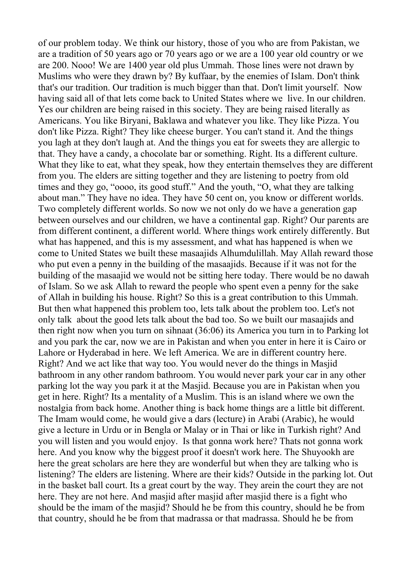of our problem today. We think our history, those of you who are from Pakistan, we are a tradition of 50 years ago or 70 years ago or we are a 100 year old country or we are 200. Nooo! We are 1400 year old plus Ummah. Those lines were not drawn by Muslims who were they drawn by? By kuffaar, by the enemies of Islam. Don't think that's our tradition. Our tradition is much bigger than that. Don't limit yourself. Now having said all of that lets come back to United States where we live. In our children. Yes our children are being raised in this society. They are being raised literally as Americans. You like Biryani, Baklawa and whatever you like. They like Pizza. You don't like Pizza. Right? They like cheese burger. You can't stand it. And the things you lagh at they don't laugh at. And the things you eat for sweets they are allergic to that. They have a candy, a chocolate bar or something. Right. Its a different culture. What they like to eat, what they speak, how they entertain themselves they are different from you. The elders are sitting together and they are listening to poetry from old times and they go, "oooo, its good stuff." And the youth, "O, what they are talking about man." They have no idea. They have 50 cent on, you know or different worlds. Two completely different worlds. So now we not only do we have a generation gap between ourselves and our children, we have a continental gap. Right? Our parents are from different continent, a different world. Where things work entirely differently. But what has happened, and this is my assessment, and what has happened is when we come to United States we built these masaajids Alhumdulillah. May Allah reward those who put even a penny in the building of the masaajids. Because if it was not for the building of the masaajid we would not be sitting here today. There would be no dawah of Islam. So we ask Allah to reward the people who spent even a penny for the sake of Allah in building his house. Right? So this is a great contribution to this Ummah. But then what happened this problem too, lets talk about the problem too. Let's not only talk about the good lets talk about the bad too. So we built our masaajids and then right now when you turn on sihnaat (36:06) its America you turn in to Parking lot and you park the car, now we are in Pakistan and when you enter in here it is Cairo or Lahore or Hyderabad in here. We left America. We are in different country here. Right? And we act like that way too. You would never do the things in Masjid bathroom in any other random bathroom. You would never park your car in any other parking lot the way you park it at the Masjid. Because you are in Pakistan when you get in here. Right? Its a mentality of a Muslim. This is an island where we own the nostalgia from back home. Another thing is back home things are a little bit different. The Imam would come, he would give a dars (lecture) in Arabi (Arabic), he would give a lecture in Urdu or in Bengla or Malay or in Thai or like in Turkish right? And you will listen and you would enjoy. Is that gonna work here? Thats not gonna work here. And you know why the biggest proof it doesn't work here. The Shuyookh are here the great scholars are here they are wonderful but when they are talking who is listening? The elders are listening. Where are their kids? Outside in the parking lot. Out in the basket ball court. Its a great court by the way. They arein the court they are not here. They are not here. And masjid after masjid after masjid there is a fight who should be the imam of the masjid? Should he be from this country, should he be from that country, should he be from that madrassa or that madrassa. Should he be from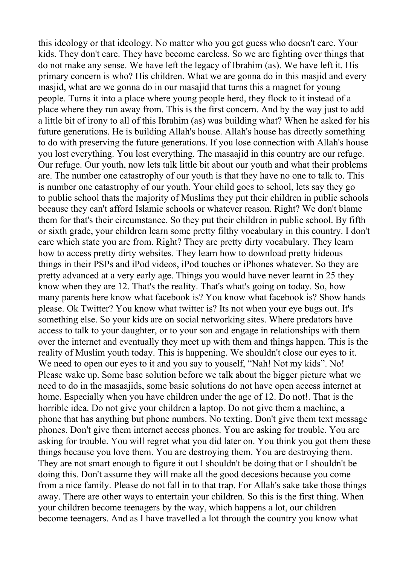this ideology or that ideology. No matter who you get guess who doesn't care. Your kids. They don't care. They have become careless. So we are fighting over things that do not make any sense. We have left the legacy of Ibrahim (as). We have left it. His primary concern is who? His children. What we are gonna do in this masjid and every masjid, what are we gonna do in our masajid that turns this a magnet for young people. Turns it into a place where young people herd, they flock to it instead of a place where they run away from. This is the first concern. And by the way just to add a little bit of irony to all of this Ibrahim (as) was building what? When he asked for his future generations. He is building Allah's house. Allah's house has directly something to do with preserving the future generations. If you lose connection with Allah's house you lost everything. You lost everything. The masaajid in this country are our refuge. Our refuge. Our youth, now lets talk little bit about our youth and what their problems are. The number one catastrophy of our youth is that they have no one to talk to. This is number one catastrophy of our youth. Your child goes to school, lets say they go to public school thats the majority of Muslims they put their children in public schools because they can't afford Islamic schools or whatever reason. Right? We don't blame them for that's their circumstance. So they put their children in public school. By fifth or sixth grade, your children learn some pretty filthy vocabulary in this country. I don't care which state you are from. Right? They are pretty dirty vocabulary. They learn how to access pretty dirty websites. They learn how to download pretty hideous things in their PSPs and iPod videos, iPod touches or iPhones whatever. So they are pretty advanced at a very early age. Things you would have never learnt in 25 they know when they are 12. That's the reality. That's what's going on today. So, how many parents here know what facebook is? You know what facebook is? Show hands please. Ok Twitter? You know what twitter is? Its not when your eye bugs out. It's something else. So your kids are on social networking sites. Where predators have access to talk to your daughter, or to your son and engage in relationships with them over the internet and eventually they meet up with them and things happen. This is the reality of Muslim youth today. This is happening. We shouldn't close our eyes to it. We need to open our eyes to it and you say to youself, "Nah! Not my kids". No! Please wake up. Some basc solution before we talk about the bigger picture what we need to do in the masaajids, some basic solutions do not have open access internet at home. Especially when you have children under the age of 12. Do not!. That is the horrible idea. Do not give your children a laptop. Do not give them a machine, a phone that has anything but phone numbers. No texting. Don't give them text message phones. Don't give them internet access phones. You are asking for trouble. You are asking for trouble. You will regret what you did later on. You think you got them these things because you love them. You are destroying them. You are destroying them. They are not smart enough to figure it out I shouldn't be doing that or I shouldn't be doing this. Don't assume they will make all the good decesions because you come from a nice family. Please do not fall in to that trap. For Allah's sake take those things away. There are other ways to entertain your children. So this is the first thing. When your children become teenagers by the way, which happens a lot, our children become teenagers. And as I have travelled a lot through the country you know what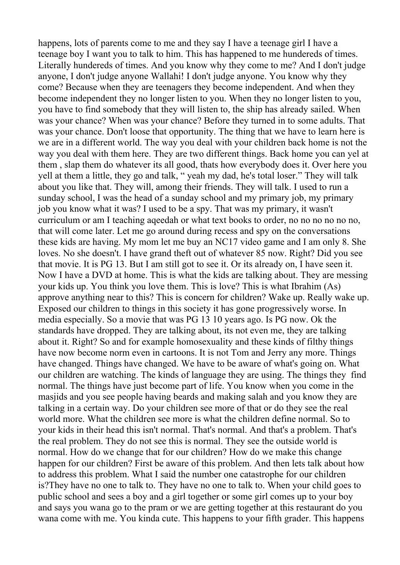happens, lots of parents come to me and they say I have a teenage girl I have a teenage boy I want you to talk to him. This has happened to me hundereds of times. Literally hundereds of times. And you know why they come to me? And I don't judge anyone, I don't judge anyone Wallahi! I don't judge anyone. You know why they come? Because when they are teenagers they become independent. And when they become independent they no longer listen to you. When they no longer listen to you, you have to find somebody that they will listen to, the ship has already sailed. When was your chance? When was your chance? Before they turned in to some adults. That was your chance. Don't loose that opportunity. The thing that we have to learn here is we are in a different world. The way you deal with your children back home is not the way you deal with them here. They are two different things. Back home you can yel at them , slap them do whatever its all good, thats how everybody does it. Over here you yell at them a little, they go and talk, " yeah my dad, he's total loser." They will talk about you like that. They will, among their friends. They will talk. I used to run a sunday school, I was the head of a sunday school and my primary job, my primary job you know what it was? I used to be a spy. That was my primary, it wasn't curriculum or am I teaching aqeedah or what text books to order, no no no no no no, that will come later. Let me go around during recess and spy on the conversations these kids are having. My mom let me buy an NC17 video game and I am only 8. She loves. No she doesn't. I have grand theft out of whatever 85 now. Right? Did you see that movie. It is PG 13. But I am still got to see it. Or its already on, I have seen it. Now I have a DVD at home. This is what the kids are talking about. They are messing your kids up. You think you love them. This is love? This is what Ibrahim (As) approve anything near to this? This is concern for children? Wake up. Really wake up. Exposed our children to things in this society it has gone progressively worse. In media especially. So a movie that was PG 13 10 years ago. Is PG now. Ok the standards have dropped. They are talking about, its not even me, they are talking about it. Right? So and for example homosexuality and these kinds of filthy things have now become norm even in cartoons. It is not Tom and Jerry any more. Things have changed. Things have changed. We have to be aware of what's going on. What our children are watching. The kinds of language they are using. The things they find normal. The things have just become part of life. You know when you come in the masjids and you see people having beards and making salah and you know they are talking in a certain way. Do your children see more of that or do they see the real world more. What the children see more is what the children define normal. So to your kids in their head this isn't normal. That's normal. And that's a problem. That's the real problem. They do not see this is normal. They see the outside world is normal. How do we change that for our children? How do we make this change happen for our children? First be aware of this problem. And then lets talk about how to address this problem. What I said the number one catastrophe for our children is?They have no one to talk to. They have no one to talk to. When your child goes to public school and sees a boy and a girl together or some girl comes up to your boy and says you wana go to the pram or we are getting together at this restaurant do you wana come with me. You kinda cute. This happens to your fifth grader. This happens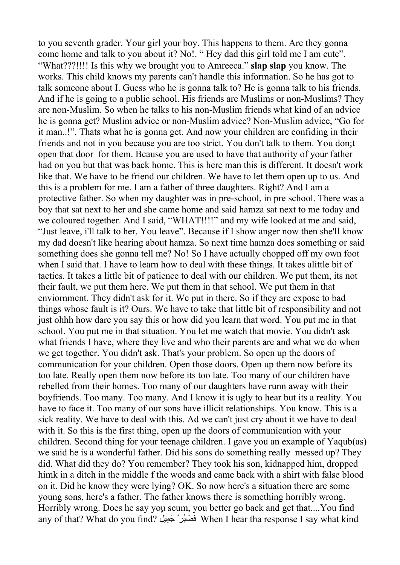to you seventh grader. Your girl your boy. This happens to them. Are they gonna come home and talk to you about it? No!. " Hey dad this girl told me I am cute". "What???!!!! Is this why we brought you to Amreeca." **slap slap** you know. The works. This child knows my parents can't handle this information. So he has got to talk someone about I. Guess who he is gonna talk to? He is gonna talk to his friends. And if he is going to a public school. His friends are Muslims or non-Muslims? They are non-Muslim. So when he talks to his non-Muslim friends what kind of an advice he is gonna get? Muslim advice or non-Muslim advice? Non-Muslim advice, "Go for it man..!". Thats what he is gonna get. And now your children are confiding in their friends and not in you because you are too strict. You don't talk to them. You don;t open that door for them. Bcause you are used to have that authority of your father had on you but that was back home. This is here man this is different. It doesn't work like that. We have to be friend our children. We have to let them open up to us. And this is a problem for me. I am a father of three daughters. Right? And I am a protective father. So when my daughter was in preschool, in pre school. There was a boy that sat next to her and she came home and said hamza sat next to me today and we coloured together. And I said, "WHAT!!!!" and my wife looked at me and said, "Just leave, i'll talk to her. You leave". Because if I show anger now then she'll know my dad doesn't like hearing about hamza. So next time hamza does something or said something does she gonna tell me? No! So I have actually chopped off my own foot when I said that. I have to learn how to deal with these things. It takes alittle bit of tactics. It takes a little bit of patience to deal with our children. We put them, its not their fault, we put them here. We put them in that school. We put them in that enviornment. They didn't ask for it. We put in there. So if they are expose to bad things whose fault is it? Ours. We have to take that little bit of responsibility and not just ohhh how dare you say this or how did you learn that word. You put me in that school. You put me in that situation. You let me watch that movie. You didn't ask what friends I have, where they live and who their parents are and what we do when we get together. You didn't ask. That's your problem. So open up the doors of communication for your children. Open those doors. Open up them now before its too late. Really open them now before its too late. Too many of our children have rebelled from their homes. Too many of our daughters have runn away with their boyfriends. Too many. Too many. And I know it is ugly to hear but its a reality. You have to face it. Too many of our sons have illicit relationships. You know. This is a sick reality. We have to deal with this. Ad we can't just cry about it we have to deal with it. So this is the first thing, open up the doors of communication with your children. Second thing for your teenage children. I gave you an example of Yaqub(as) we said he is a wonderful father. Did his sons do something really messed up? They did. What did they do? You remember? They took his son, kidnapped him, dropped himk in a ditch in the middle f the woods and came back with a shirt with false blood on it. Did he know they were lying? OK. So now here's a situation there are some young sons, here's a father. The father knows there is something horribly wrong. Horribly wrong. Does he say you scum, you better go back and get that....You find any of that? What do you find? فَصَنْدِ ۖ جَمِيلٌ Men I hear tha response I say what kind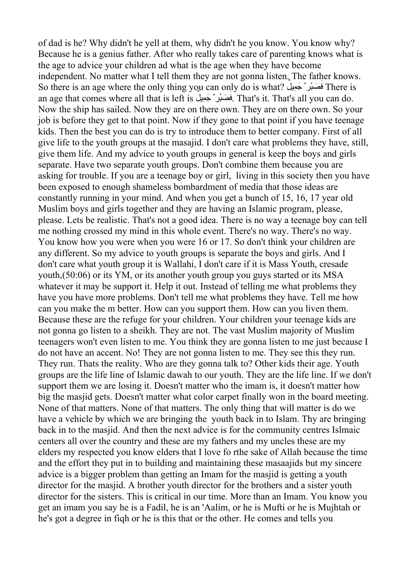of dad is he? Why didn't he yell at them, why didn't he you know. You know why? Because he is a genius father. After who really takes care of parenting knows what is the age to advice your children ad what is the age when they have become independent. No matter what I tell them they are not gonna listen. The father knows. So there is an age where the only thing you can only do is what? ف صَ ِيل ْرٌ َجم َ ب ٌ There is an age that comes where all that is left is فَصَبْرٍ يُجمِيلُ . That's it. That's all you can do. Now the ship has sailed. Now they are on there own. They are on there own. So your job is before they get to that point. Now if they gone to that point if you have teenage kids. Then the best you can do is try to introduce them to better company. First of all give life to the youth groups at the masajid. I don't care what problems they have, still, give them life. And my advice to youth groups in general is keep the boys and girls separate. Have two separate youth groups. Don't combine them because you are asking for trouble. If you are a teenage boy or girl, living in this society then you have been exposed to enough shameless bombardment of media that those ideas are constantly running in your mind. And when you get a bunch of 15, 16, 17 year old Muslim boys and girls together and they are having an Islamic program, please, please. Lets be realistic. That's not a good idea. There is no way a teenage boy can tell me nothing crossed my mind in this whole event. There's no way. There's no way. You know how you were when you were 16 or 17. So don't think your children are any different. So my advice to youth groups is separate the boys and girls. And I don't care what youth group it is Wallahi, I don't care if it is Mass Youth, cresade youth,(50:06) or its YM, or its another youth group you guys started or its MSA whatever it may be support it. Help it out. Instead of telling me what problems they have you have more problems. Don't tell me what problems they have. Tell me how can you make the m better. How can you support them. How can you liven them. Because these are the refuge for your children. Your children your teenage kids are not gonna go listen to a sheikh. They are not. The vast Muslim majority of Muslim teenagers won't even listen to me. You think they are gonna listen to me just because I do not have an accent. No! They are not gonna listen to me. They see this they run. They run. Thats the reality. Who are they gonna talk to? Other kids their age. Youth groups are the life line of Islamic dawah to our youth. They are the life line. If we don't support them we are losing it. Doesn't matter who the imam is, it doesn't matter how big the masjid gets. Doesn't matter what color carpet finally won in the board meeting. None of that matters. None of that matters. The only thing that will matter is do we have a vehicle by which we are bringing the youth back in to Islam. Thy are bringing back in to the masjid. And then the next advice is for the community centres Islmaic centers all over the country and these are my fathers and my uncles these are my elders my respected you know elders that I love fo rthe sake of Allah because the time and the effort they put in to building and maintaining these masaajids but my sincere advice is a bigger problem than getting an Imam for the masjid is getting a youth director for the masjid. A brother youth director for the brothers and a sister youth director for the sisters. This is critical in our time. More than an Imam. You know you get an imam you say he is a Fadil, he is an 'Aalim, or he is Mufti or he is Mujhtah or he's got a degree in fiqh or he is this that or the other. He comes and tells you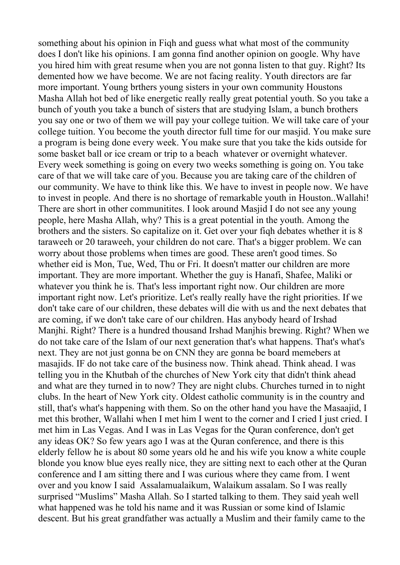something about his opinion in Fiqh and guess what what most of the community does I don't like his opinions. I am gonna find another opinion on google. Why have you hired him with great resume when you are not gonna listen to that guy. Right? Its demented how we have become. We are not facing reality. Youth directors are far more important. Young brthers young sisters in your own community Houstons Masha Allah hot bed of like energetic really really great potential youth. So you take a bunch of youth you take a bunch of sisters that are studying Islam, a bunch brothers you say one or two of them we will pay your college tuition. We will take care of your college tuition. You become the youth director full time for our masjid. You make sure a program is being done every week. You make sure that you take the kids outside for some basket ball or ice cream or trip to a beach whatever or overnight whatever. Every week something is going on every two weeks something is going on. You take care of that we will take care of you. Because you are taking care of the children of our community. We have to think like this. We have to invest in people now. We have to invest in people. And there is no shortage of remarkable youth in Houston..Wallahi! There are short in other communitites. I look around Masjid I do not see any young people, here Masha Allah, why? This is a great potential in the youth. Among the brothers and the sisters. So capitalize on it. Get over your fiqh debates whether it is 8 taraweeh or 20 taraweeh, your children do not care. That's a bigger problem. We can worry about those problems when times are good. These aren't good times. So whether eid is Mon, Tue, Wed, Thu or Fri. It doesn't matter our children are more important. They are more important. Whether the guy is Hanafi, Shafee, Maliki or whatever you think he is. That's less important right now. Our children are more important right now. Let's prioritize. Let's really really have the right priorities. If we don't take care of our children, these debates will die with us and the next debates that are coming, if we don't take care of our children. Has anybody heard of Irshad Manjhi. Right? There is a hundred thousand Irshad Manjhis brewing. Right? When we do not take care of the Islam of our next generation that's what happens. That's what's next. They are not just gonna be on CNN they are gonna be board memebers at masajids. IF do not take care of the business now. Think ahead. Think ahead. I was telling you in the Khutbah of the churches of New York city that didn't think ahead and what are they turned in to now? They are night clubs. Churches turned in to night clubs. In the heart of New York city. Oldest catholic community is in the country and still, that's what's happening with them. So on the other hand you have the Masaajid, I met this brother, Wallahi when I met him I went to the corner and I cried I just cried. I met him in Las Vegas. And I was in Las Vegas for the Quran conference, don't get any ideas OK? So few years ago I was at the Quran conference, and there is this elderly fellow he is about 80 some years old he and his wife you know a white couple blonde you know blue eyes really nice, they are sitting next to each other at the Quran conference and I am sitting there and I was curious where they came from. I went over and you know I said Assalamualaikum, Walaikum assalam. So I was really surprised "Muslims" Masha Allah. So I started talking to them. They said yeah well what happened was he told his name and it was Russian or some kind of Islamic descent. But his great grandfather was actually a Muslim and their family came to the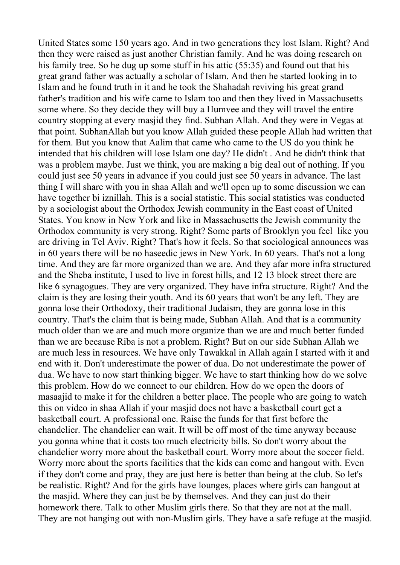United States some 150 years ago. And in two generations they lost Islam. Right? And then they were raised as just another Christian family. And he was doing research on his family tree. So he dug up some stuff in his attic (55:35) and found out that his great grand father was actually a scholar of Islam. And then he started looking in to Islam and he found truth in it and he took the Shahadah reviving his great grand father's tradition and his wife came to Islam too and then they lived in [Massachusetts](http://www.google.com/url?q=http%3A%2F%2Fsimple.wikipedia.org%2Fwiki%2FMassachusetts&sa=D&sntz=1&usg=AFQjCNF_C-1uM1dkRFrk5K3HOaD0XAA75g) some where. So they decide they will buy a Humvee and they will travel the entire country stopping at every masjid they find. Subhan Allah. And they were in Vegas at that point. SubhanAllah but you know Allah guided these people Allah had written that for them. But you know that Aalim that came who came to the US do you think he intended that his children will lose Islam one day? He didn't . And he didn't think that was a problem maybe. Just we think, you are making a big deal out of nothing. If you could just see 50 years in advance if you could just see 50 years in advance. The last thing I will share with you in shaa Allah and we'll open up to some discussion we can have together bi iznillah. This is a social statistic. This social statistics was conducted by a sociologist about the Orthodox Jewish community in the East coast of United States. You know in New York and like in Massachusetts the Jewish community the Orthodox community is very strong. Right? Some parts of Brooklyn you feel like you are driving in Tel Aviv. Right? That's how it feels. So that sociological announces was in 60 years there will be no haseedic jews in New York. In 60 years. That's not a long time. And they are far more organized than we are. And they afar more infra structured and the Sheba institute, I used to live in forest hills, and 12 13 block street there are like 6 synagogues. They are very organized. They have infra structure. Right? And the claim is they are losing their youth. And its 60 years that won't be any left. They are gonna lose their Orthodoxy, their traditional Judaism, they are gonna lose in this country. That's the claim that is being made, Subhan Allah. And that is a community much older than we are and much more organize than we are and much better funded than we are because Riba is not a problem. Right? But on our side Subhan Allah we are much less in resources. We have only Tawakkal in Allah again I started with it and end with it. Don't underestimate the power of dua. Do not underestimate the power of dua. We have to now start thinking bigger. We have to start thinking how do we solve this problem. How do we connect to our children. How do we open the doors of masaajid to make it for the children a better place. The people who are going to watch this on video in shaa Allah if your masjid does not have a basketball court get a basketball court. A professional one. Raise the funds for that first before the chandelier. The chandelier can wait. It will be off most of the time anyway because you gonna whine that it costs too much electricity bills. So don't worry about the chandelier worry more about the basketball court. Worry more about the soccer field. Worry more about the sports facilities that the kids can come and hangout with. Even if they don't come and pray, they are just here is better than being at the club. So let's be realistic. Right? And for the girls have lounges, places where girls can hangout at the masjid. Where they can just be by themselves. And they can just do their homework there. Talk to other Muslim girls there. So that they are not at the mall. They are not hanging out with non-Muslim girls. They have a safe refuge at the masjid.